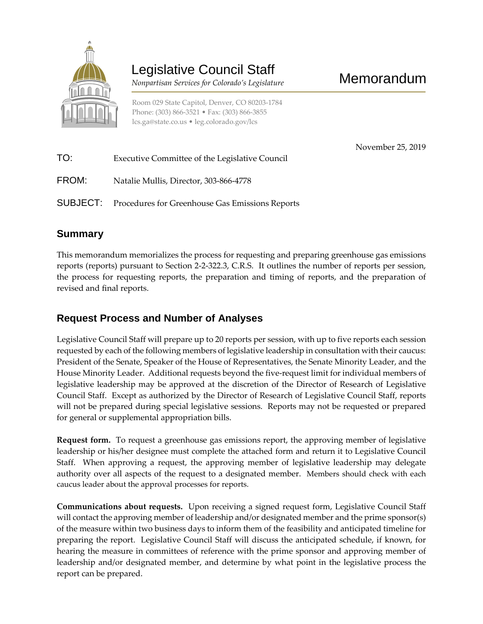

# Legislative Council Staff

*Nonpartisan Services for Colorado's Legislature*

Room 029 State Capitol, Denver, CO 80203-1784 Phone: (303) 866-3521 • Fax: (303) 866-3855 lcs.ga@state.co.us • leg.colorado.gov/lcs

November 25, 2019

| TO:   | Executive Committee of the Legislative Council                  |
|-------|-----------------------------------------------------------------|
| FROM: | Natalie Mullis, Director, 303-866-4778                          |
|       | <b>SUBJECT:</b> Procedures for Greenhouse Gas Emissions Reports |

### **Summary**

This memorandum memorializes the process for requesting and preparing greenhouse gas emissions reports (reports) pursuant to Section 2-2-322.3, C.R.S. It outlines the number of reports per session, the process for requesting reports, the preparation and timing of reports, and the preparation of revised and final reports.

## **Request Process and Number of Analyses**

Legislative Council Staff will prepare up to 20 reports per session, with up to five reports each session requested by each of the following members of legislative leadership in consultation with their caucus: President of the Senate, Speaker of the House of Representatives, the Senate Minority Leader, and the House Minority Leader. Additional requests beyond the five-request limit for individual members of legislative leadership may be approved at the discretion of the Director of Research of Legislative Council Staff. Except as authorized by the Director of Research of Legislative Council Staff, reports will not be prepared during special legislative sessions. Reports may not be requested or prepared for general or supplemental appropriation bills.

**Request form.** To request a greenhouse gas emissions report, the approving member of legislative leadership or his/her designee must complete the attached form and return it to Legislative Council Staff. When approving a request, the approving member of legislative leadership may delegate authority over all aspects of the request to a designated member. Members should check with each caucus leader about the approval processes for reports.

**Communications about requests.** Upon receiving a signed request form, Legislative Council Staff will contact the approving member of leadership and/or designated member and the prime sponsor(s) of the measure within two business days to inform them of the feasibility and anticipated timeline for preparing the report. Legislative Council Staff will discuss the anticipated schedule, if known, for hearing the measure in committees of reference with the prime sponsor and approving member of leadership and/or designated member, and determine by what point in the legislative process the report can be prepared.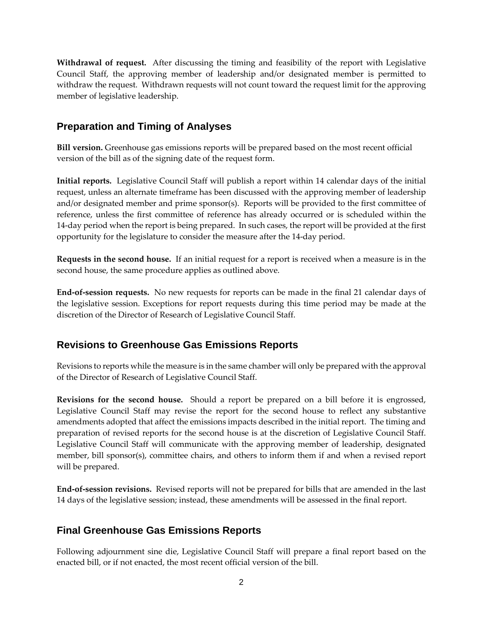**Withdrawal of request.** After discussing the timing and feasibility of the report with Legislative Council Staff, the approving member of leadership and/or designated member is permitted to withdraw the request. Withdrawn requests will not count toward the request limit for the approving member of legislative leadership.

#### **Preparation and Timing of Analyses**

**Bill version.** Greenhouse gas emissions reports will be prepared based on the most recent official version of the bill as of the signing date of the request form.

**Initial reports.** Legislative Council Staff will publish a report within 14 calendar days of the initial request, unless an alternate timeframe has been discussed with the approving member of leadership and/or designated member and prime sponsor(s). Reports will be provided to the first committee of reference, unless the first committee of reference has already occurred or is scheduled within the 14-day period when the report is being prepared. In such cases, the report will be provided at the first opportunity for the legislature to consider the measure after the 14-day period.

**Requests in the second house.** If an initial request for a report is received when a measure is in the second house, the same procedure applies as outlined above.

**End-of-session requests.** No new requests for reports can be made in the final 21 calendar days of the legislative session. Exceptions for report requests during this time period may be made at the discretion of the Director of Research of Legislative Council Staff.

#### **Revisions to Greenhouse Gas Emissions Reports**

Revisions to reports while the measure is in the same chamber will only be prepared with the approval of the Director of Research of Legislative Council Staff.

**Revisions for the second house.** Should a report be prepared on a bill before it is engrossed, Legislative Council Staff may revise the report for the second house to reflect any substantive amendments adopted that affect the emissions impacts described in the initial report. The timing and preparation of revised reports for the second house is at the discretion of Legislative Council Staff. Legislative Council Staff will communicate with the approving member of leadership, designated member, bill sponsor(s), committee chairs, and others to inform them if and when a revised report will be prepared.

**End-of-session revisions.** Revised reports will not be prepared for bills that are amended in the last 14 days of the legislative session; instead, these amendments will be assessed in the final report.

#### **Final Greenhouse Gas Emissions Reports**

Following adjournment sine die, Legislative Council Staff will prepare a final report based on the enacted bill, or if not enacted, the most recent official version of the bill.